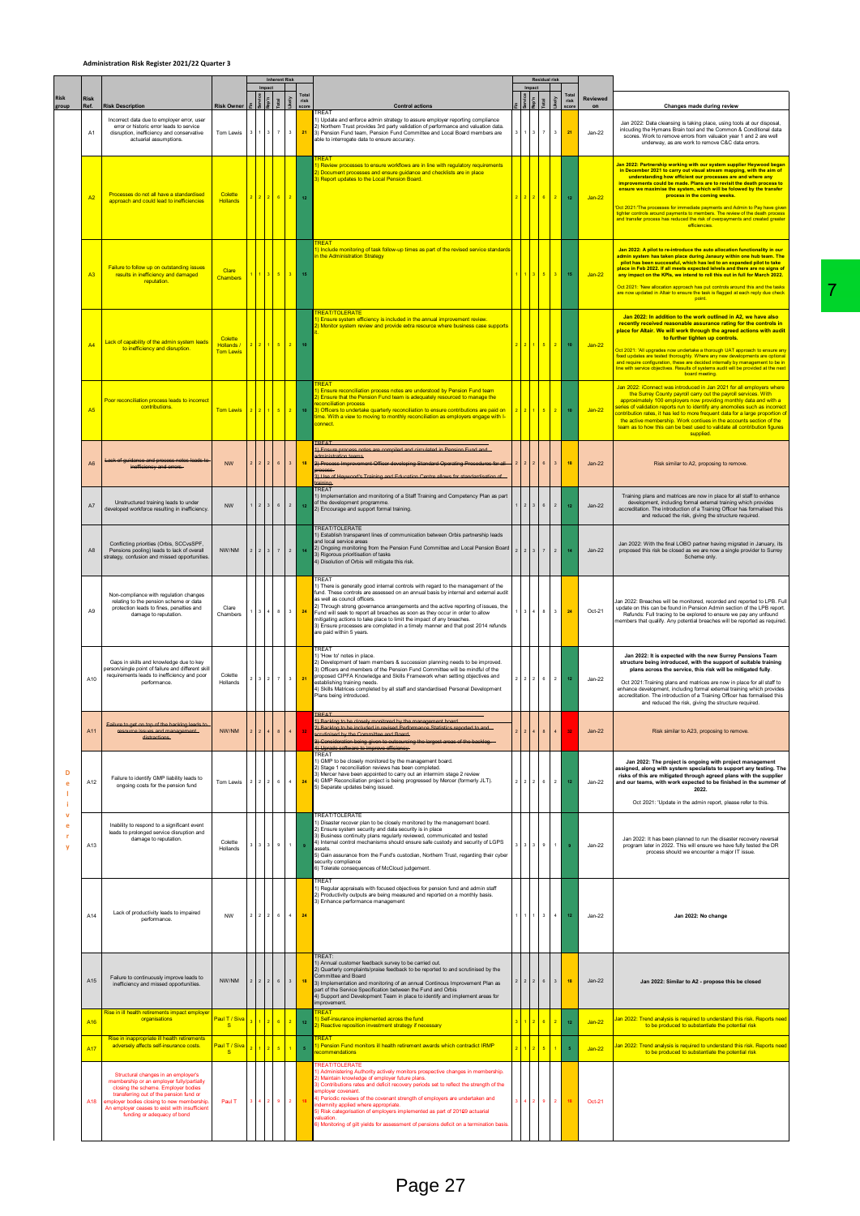## **Administration Risk Register 2021/22 Quarter 3**

|                        |                                                                                                                                                                                                                                                                                                 |                                            |                |                   |                        |                         |                  |                                                                                                                                                                                                                                                                                                                                                                                                                                                                                                                                                                                     |                | Tota            |                             |                                          |                      |                                                                                                                                                                                                                                                                                                                                                                                                                                                                                                                                                                                                                                                               |
|------------------------|-------------------------------------------------------------------------------------------------------------------------------------------------------------------------------------------------------------------------------------------------------------------------------------------------|--------------------------------------------|----------------|-------------------|------------------------|-------------------------|------------------|-------------------------------------------------------------------------------------------------------------------------------------------------------------------------------------------------------------------------------------------------------------------------------------------------------------------------------------------------------------------------------------------------------------------------------------------------------------------------------------------------------------------------------------------------------------------------------------|----------------|-----------------|-----------------------------|------------------------------------------|----------------------|---------------------------------------------------------------------------------------------------------------------------------------------------------------------------------------------------------------------------------------------------------------------------------------------------------------------------------------------------------------------------------------------------------------------------------------------------------------------------------------------------------------------------------------------------------------------------------------------------------------------------------------------------------------|
| <b>Risk</b><br>Ref.    | <b>Risk Description</b>                                                                                                                                                                                                                                                                         | <b>Risk Owner</b>                          |                |                   |                        |                         | Tota<br>risk     | <b>Control actions</b><br><b>TREAT</b>                                                                                                                                                                                                                                                                                                                                                                                                                                                                                                                                              |                |                 |                             | risk                                     | Reviewed<br>on       | Changes made during review                                                                                                                                                                                                                                                                                                                                                                                                                                                                                                                                                                                                                                    |
| A <sub>1</sub>         | Incorrect data due to employer error, user<br>error or historic error leads to service<br>disruption, inefficiency and conservative<br>actuarial assumptions.                                                                                                                                   | Tom Lewis                                  |                | $\mathbf{3}$      |                        | $\mathbf 3$             | 21               | 1) Update and enforce admin strategy to assure employer reporting compliance<br>2) Northern Trust provides 3rd party validation of performance and valuation data.<br>3) Pension Fund team, Pension Fund Committee and Local Board members are<br>able to interrogate data to ensure accuracy.                                                                                                                                                                                                                                                                                      |                |                 |                             | $\mathbf 3$<br>$\bf 21$                  | $Jan-22$             | Jan 2022: Data cleansing is taking place, using tools at our disposal,<br>inlcuding the Hymans Brain tool and the Common & Conditional data<br>scores. Work to remove errors from valuaion year 1 and 2 are well<br>underway, as are work to remove C&C data errors.                                                                                                                                                                                                                                                                                                                                                                                          |
| A <sub>2</sub>         | Processes do not all have a standardised<br>approach and could lead to inefficiencies                                                                                                                                                                                                           | Colette<br><b>Hollands</b>                 |                |                   | 2 6                    | $-2$                    | 12               | <b>REAT</b><br>) Review processes to ensure workflows are in line with regulatory requirements<br>Document processes and ensure guidance and checklists are in place<br>3) Report updates to the Local Pension Board.                                                                                                                                                                                                                                                                                                                                                               |                |                 |                             | 2 <sup>°</sup><br>$\bf 12$               | $Jan-22$             | Jan 2022: Partnership working with our system supplier Heywood began<br>in December 2021 to carry out visual stream mapping, with the aim of<br>understanding how efficient our processes are and where any<br>improvements could be made. Plans are to revisit the death process to<br>ensure we maximise the system, which will be folowed by the transfer<br>process in the coming weeks.<br>'Oct 2021: The processes for immediate payments and Admin to Pay have giver<br>tighter controls around payments to members. The review of the death process<br>and transfer process has reduced the risk of overpayments and created greater<br>efficiencies. |
| A <sub>3</sub>         | Failure to follow up on outstanding issues<br>results in inefficiency and damaged<br>reputation.                                                                                                                                                                                                | Clare<br>Chambers                          |                |                   | 1 3 5 3                |                         | 15               | 1) Include monitoring of task follow-up times as part of the revised service standard<br>in the Administration Strategy                                                                                                                                                                                                                                                                                                                                                                                                                                                             |                |                 | $5-1$                       | 3 <sup>1</sup><br>15                     | $Jan-22$             | Jan 2022: A pilot to re-introduce the auto allocation functionality in our<br>admin system has taken place during Janaury within one hub team. The<br>pilot has been successful, which has led to an expanded pilot to take<br>place in Feb 2022. If all meets expected leivels and there are no signs of<br>any impact on the KPIs, we intend to roll this out in full for March 2022.<br>Oct 2021: 'New allocation approach has put controls around this and the tasks<br>are now updated in Altair to ensure the task is flagged at each reply due check<br>point.                                                                                         |
| A <sub>4</sub>         | Lack of capability of the admin system leads<br>to inefficiency and disruption.                                                                                                                                                                                                                 | Colette<br>Hollands /<br><b>Tom Lewis</b>  |                |                   | $1$ 5 2                |                         | 10               | <b>REAT/TOLERATE</b><br>) Ensure system efficiency is included in the annual improvement review.<br>) Monitor system review and provide extra resource where business case supports                                                                                                                                                                                                                                                                                                                                                                                                 |                |                 | $5 -$                       | 2 <sup>7</sup><br>${\bf 10}$             | $Jan-22$             | Jan 2022: In addition to the work outlined in A2, we have also<br>recently received reasonable assurance rating for the controls in<br>place for Altair. We will work through the agreed actions with audit<br>to further tighten up controls.<br>Oct 2021: 'All upgrades now undertake a thorough UAT approach to ensure any<br>fixed updates are tested thoroughly. Where any new developments are optional<br>and require configuration, these are decided internally by management to be in<br>line with service objectives. Results of systems audit will be provided at the next                                                                        |
| A <sub>5</sub>         | Poor reconciliation process leads to incorrect<br>contributions.                                                                                                                                                                                                                                | <b>Tom Lewis</b>                           |                |                   | 1 5 2                  |                         | 10 <sup>10</sup> | <b>REAT</b><br>Ensure reconciliation process notes are understood by Pension Fund team<br>2) Ensure that the Pension Fund team is adequately resourced to manage the<br>econciliation process<br>3) Officers to undertake quarterly reconciliation to ensure contributions are paid on<br>time. With a view to moving to monthly reconciliation as employers engage with I-<br>connect                                                                                                                                                                                              |                |                 | $5 \mid 2 \mid$             | 10                                       | $Jan-22$             | board meeting.<br>Jan 2022: iConnect was introduced in Jan 2021 for all employers where<br>the Surrey County payroll carry out the payroll services. With<br>approximately 100 employers now providing monthly data and with a<br>series of validation reports run to identify any anomolies such as incorrect<br>contribution rates, it has led to more frequent data for a large proportion of<br>the active membership. Work contiues in the accounts section of the<br>team as to how this can be best used to validate all contribution figures<br>supplied.                                                                                             |
| A6                     | ack of guidance and process notes leads<br>inefficiency and errors.                                                                                                                                                                                                                             | NW                                         |                |                   | 6                      | $\overline{\mathbf{3}}$ | 18               | 1) Ensure process notes are compiled and circulated in Pension Fund and<br>dministration teams<br>2) Process Improvement Officer developing Standard Operating Procedures for all-<br>3) Use of Heywood's Training and Education Centre allows for standardisation                                                                                                                                                                                                                                                                                                                  |                |                 | $\mathbf 6$                 | $\mathbf{3}$<br>18                       | $Jan-22$             | Risk similar to A2, proposing to remove.                                                                                                                                                                                                                                                                                                                                                                                                                                                                                                                                                                                                                      |
| A7                     | Unstructured training leads to under<br>developed workforce resulting in inefficiency.                                                                                                                                                                                                          | <b>NW</b>                                  |                |                   | 6                      | $\bar{z}$               | $\bf 12$         | TREAT<br>1) Implementation and monitoring of a Staff Training and Competency Plan as part<br>of the development programme.<br>2) Encourage and support formal training.                                                                                                                                                                                                                                                                                                                                                                                                             |                |                 | 6                           | $\mathbf{2}$<br>12 <sub>2</sub>          | $Jan-22$             | Training plans and matrices are now in place for all staff to enhance<br>development, including formal external training which provides<br>accreditation. The introduction of a Training Officer has formalised this<br>and reduced the risk, giving the structure required.                                                                                                                                                                                                                                                                                                                                                                                  |
| A8                     | Conflicting priorities (Orbis, SCCvsSPF,<br>Pensions pooling) leads to lack of overall<br>strategy, confusion and missed opportunities.                                                                                                                                                         | NW/NM                                      |                | $2 \mid 3 \mid 7$ |                        | $\overline{2}$          | 14               | TREAT/TOLERATE<br>1) Establish transparent lines of communication between Orbis partnership leads<br>and local service areas<br>2) Ongoing monitoring from the Pension Fund Committee and Local Pension Board<br>3) Rigorous prioritisation of tasks<br>4) Disolution of Orbis will mitigate this risk.                                                                                                                                                                                                                                                                             | $\overline{2}$ |                 | $\mathbf{7}^-$              | $\sqrt{2}$<br>14                         | $Jan-22$             | Jan 2022: With the final LOBO partner having migrated in January, its<br>proposed this risk be closed as we are now a single provider to Surrey<br>Scheme only.                                                                                                                                                                                                                                                                                                                                                                                                                                                                                               |
| A9                     | Non-compliance with regulation changes<br>relating to the pension scheme or data<br>protection leads to fines, penalties and<br>damage to reputation.                                                                                                                                           | Clare<br>Chambers                          |                |                   | $3 \quad 4 \quad 8$    | 3                       | 24               | TREAT<br>1) There is generally good internal controls with regard to the management of the<br>fund. These controls are assessed on an annual basis by internal and external audit<br>as well as council officers.<br>2) Through strong governance arrangements and the active reporting of issues, the<br>Fund will seek to report all breaches as soon as they occur in order to allow<br>mitigating actions to take place to limit the impact of any breaches.<br>3) Ensure processes are completed in a timely manner and that post 2014 refunds<br>are paid within 5 years.     |                | 3 <sup>14</sup> | 8                           | $\overline{\mathbf{3}}$<br>24            | Oct-21               | Jan 2022: Breaches will be monitored, recorded and reported to LPB. Full<br>update on this can be found in Pension Admin section of the LPB report.<br>Refunds: Full tracing to be explored to ensure we pay any unfound<br>members that qualify. Any potential breaches will be reported as required.                                                                                                                                                                                                                                                                                                                                                        |
| A10                    | Gaps in skills and knowledge due to key<br>erson/single point of failure and different skill<br>requirements leads to inefficiency and poor<br>performance.                                                                                                                                     | Colette<br>Hollands                        |                | $3 \mid 2 \mid 7$ |                        | $\mathbf 3$             | 21               | TREAT<br>1) 'How to' notes in place.<br>2) Development of team members & succession planning needs to be improved.<br>3) Officers and members of the Pension Fund Committee will be mindful of the<br>proposed CIPFA Knowledge and Skills Framework when setting objectives and<br>establishing training needs<br>4) Skills Matrices completed by all staff and standardised Personal Development<br>Plans being introduced.                                                                                                                                                        |                | $2 \mid 2$      | 6                           | $\overline{2}$<br>12                     | Jan-22               | Jan 2022: It is expected with the new Surrey Pensions Team<br>structure being introduced, with the support of suitable training<br>plans across the service, this risk will be mitigated fully.<br>Oct 2021: Training plans and matrices are now in place for all staff to<br>enhance development, including formal external training which provides<br>accreditation. The introduction of a Training Officer has formalised this<br>and reduced the risk, giving the structure required.                                                                                                                                                                     |
| A11                    | engH<br>dietra                                                                                                                                                                                                                                                                                  | NW/NM                                      |                |                   |                        | $\overline{4}$          |                  | <b>TREAT</b><br>og to be closely monitored by the manage<br>1) Backl<br>and Board<br><del>being given to outsourc</del>                                                                                                                                                                                                                                                                                                                                                                                                                                                             |                |                 |                             | $\ddot{a}$<br>32                         | $Jan-22$             | Risk similar to A23, proposing to remove                                                                                                                                                                                                                                                                                                                                                                                                                                                                                                                                                                                                                      |
| A12                    | Failure to identify GMP liability leads to<br>ongoing costs for the pension fund                                                                                                                                                                                                                | Tom Lewis                                  | $\overline{2}$ |                   | $2 \quad 2 \quad 6$    | 4                       | 24               | <b>TREAT</b><br>1) GMP to be closely monitored by the management board.<br>2) Stage 1 reconciliation reviews has been completed.<br>3) Mercer have been appointed to carry out an intermim stage 2 review<br>4) GMP Reconciliation project is being progressed by Mercer (formerly JLT).<br>5) Separate updates being issued.                                                                                                                                                                                                                                                       | $\overline{2}$ |                 | $2 \quad 2 \quad 6 \quad 2$ | $12\,$                                   | Jan-22               | Jan 2022: The project is ongoing with project management<br>assigned, along with system specialists to support any testing. The<br>risks of this are mitigated through agreed plans with the supplier<br>and our teams, with work expected to be finished in the summer of<br>2022.<br>Oct 2021: 'Update in the admin report, please refer to this.                                                                                                                                                                                                                                                                                                           |
| A13                    | Inability to respond to a significant event<br>leads to prolonged service disruption and<br>damage to reputation.                                                                                                                                                                               | Colette<br>Hollands                        |                |                   | $3 \quad 3 \quad 9$    | 1                       | $\bullet$        | <b>TREAT/TOLERATE</b><br>) Disaster recover plan to be closely monitored by the management board.<br>) Ensure system security and data security is in place<br>) Business continuity plans regularly reviewed, communicated and tested<br>1) Internal control mechanisms should ensure safe custody and security of LGPS<br>assets.<br>5) Gain assurance from the Fund's custodian, Northern Trust, regarding their cyber<br>security compliance<br>6) Tolerate consequences of McCloud judgement.                                                                                  |                | $3 \mid 3$      | 9                           | $\mathbf 1$                              | Jan-22               | Jan 2022: It has been planned to run the disaster recovery reversal<br>program later in 2022. This will ensure we have fully tested the DR<br>process should we encounter a major IT issue.                                                                                                                                                                                                                                                                                                                                                                                                                                                                   |
| A14                    | Lack of productivity leads to impaired<br>performance.                                                                                                                                                                                                                                          | <b>NW</b>                                  | $\overline{2}$ | $2 \t 2 \t 6$     |                        | 4                       | 24               | TREAT<br>1) Regular appraisals with focused objectives for pension fund and admin staff<br>2) Productivity outputs are being measured and reported on a monthly basis.<br>3) Enhance performance management                                                                                                                                                                                                                                                                                                                                                                         |                |                 | $3^{\circ}$                 | $\sim$<br>$12\,$                         | Jan-22               | Jan 2022: No change                                                                                                                                                                                                                                                                                                                                                                                                                                                                                                                                                                                                                                           |
| A15                    | Failure to continuously improve leads to<br>inefficiency and missed opportunities.                                                                                                                                                                                                              | NW/NM                                      | $\overline{2}$ | $2 \mid 2 \mid$   | $6\phantom{.0}$        | $3 -$                   | 18               | TREAT <sup>.</sup><br>1) Annual customer feedback survey to be carried out.<br>2) Quarterly complaints/praise feedback to be reported to and scrutinised by the<br>Committee and Board<br>3) Implementation and monitoring of an annual Continous Improvement Plan as<br>part of the Service Specification between the Fund and Orbis<br>4) Support and Development Team in place to identify and implement areas for<br>mprovement.                                                                                                                                                |                | 2 2             | $\,$ 6 $\,$                 | $\mathbf 3$<br>18                        | $Jan-22$             | Jan 2022: Similar to A2 - propose this be closed                                                                                                                                                                                                                                                                                                                                                                                                                                                                                                                                                                                                              |
| A <sub>16</sub><br>A17 | Rise in ill health retirements impact employer<br>organisations<br>Rise in inappropriate ill health retirements<br>adversely affects self-insurance costs.                                                                                                                                      | Paul T / Siva<br><b>S</b><br>Paul T / Siva | $\overline{2}$ |                   | $1$ $2$ $6$ $2$<br>125 | $\mathbf{1}$            | 12               | <b>REAT</b><br>Self-insurance implemented across the fund<br>) Reactive reposition investment strategy if necessary<br><b>REAT</b><br>1) Pension Fund monitors ill health retirement awards which contradict IRMP<br><b>scommendations</b>                                                                                                                                                                                                                                                                                                                                          |                |                 | 6<br>5 <sup>1</sup>         | 2 <sup>°</sup><br>$12\,$<br>$\mathbf{1}$ | $Jan-22$<br>$Jan-22$ | Jan 2022: Trend analysis is required to understand this risk. Reports need<br>to be produced to substantiate the potential risk<br>Jan 2022: Trend analysis is required to understand this risk. Reports need<br>to be produced to substantiate the potential risk                                                                                                                                                                                                                                                                                                                                                                                            |
| A18                    | Structural changes in an employer's<br>membership or an employer fully/partially<br>closing the scheme. Employer bodies<br>transferring out of the pension fund or<br>employer bodies closing to new membership<br>An employer ceases to exist with insufficient<br>funding or adequacy of bond | Paul T                                     |                |                   | $4 \quad 2 \quad 9$    | $\overline{2}$          | 18               | <b>REAT/TOLERATE</b><br>) Administering Authority actively monitors prospective changes in membership.<br>) Maintain knowledge of employer future plans.<br>3) Contributions rates and deficit recovery periods set to reflect the strength of the<br>mployer covenant.<br>4) Periodic reviews of the covenant strength of employers are undertaken and<br>demnity applied where appropriate.<br>5) Risk categorisation of employers implemented as part of 20169 actuarial<br>valuation.<br>6) Monitoring of gilt yields for assessment of pensions deficit on a termination basis |                |                 | $9-1$                       | 2 <sup>7</sup><br>18                     | Oct-21               |                                                                                                                                                                                                                                                                                                                                                                                                                                                                                                                                                                                                                                                               |